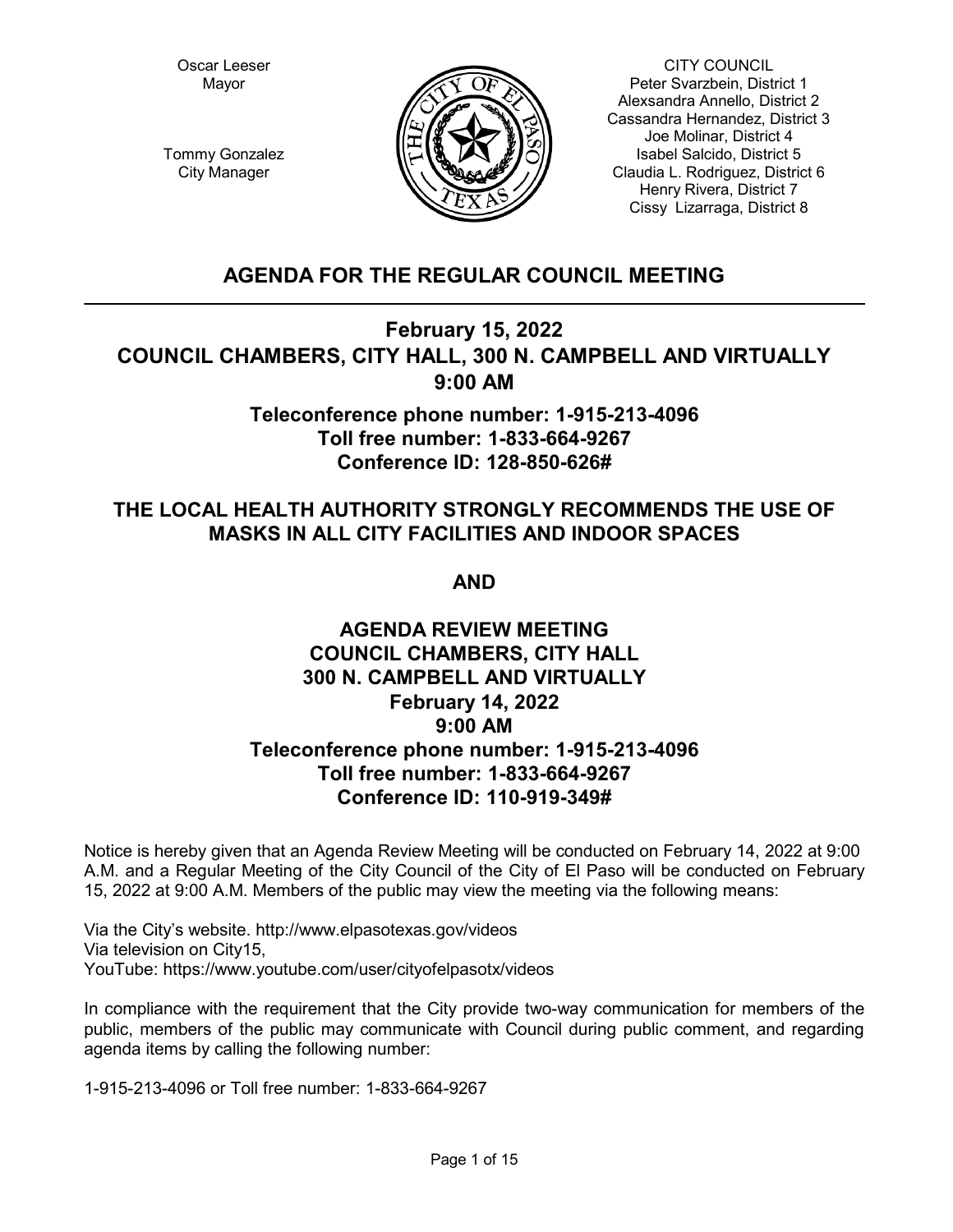Oscar Leeser Mayor



CITY COUNCIL Peter Svarzbein, District 1 Alexsandra Annello, District 2 Cassandra Hernandez, District 3 Joe Molinar, District 4 Isabel Salcido, District 5 Claudia L. Rodriguez, District 6 Henry Rivera, District 7 Cissy Lizarraga, District 8

Tommy Gonzalez City Manager

# **AGENDA FOR THE REGULAR COUNCIL MEETING**

# **February 15, 2022 COUNCIL CHAMBERS, CITY HALL, 300 N. CAMPBELL AND VIRTUALLY 9:00 AM**

# **Teleconference phone number: 1-915-213-4096 Toll free number: 1-833-664-9267 Conference ID: 128-850-626#**

# **THE LOCAL HEALTH AUTHORITY STRONGLY RECOMMENDS THE USE OF MASKS IN ALL CITY FACILITIES AND INDOOR SPACES**

**AND**

# **AGENDA REVIEW MEETING COUNCIL CHAMBERS, CITY HALL 300 N. CAMPBELL AND VIRTUALLY February 14, 2022 9:00 AM Teleconference phone number: 1-915-213-4096 Toll free number: 1-833-664-9267 Conference ID: 110-919-349#**

Notice is hereby given that an Agenda Review Meeting will be conducted on February 14, 2022 at 9:00 A.M. and a Regular Meeting of the City Council of the City of El Paso will be conducted on February 15, 2022 at 9:00 A.M. Members of the public may view the meeting via the following means:

Via the City's website. http://www.elpasotexas.gov/videos Via television on City15, YouTube: https://www.youtube.com/user/cityofelpasotx/videos

In compliance with the requirement that the City provide two-way communication for members of the public, members of the public may communicate with Council during public comment, and regarding agenda items by calling the following number:

1-915-213-4096 or Toll free number: 1-833-664-9267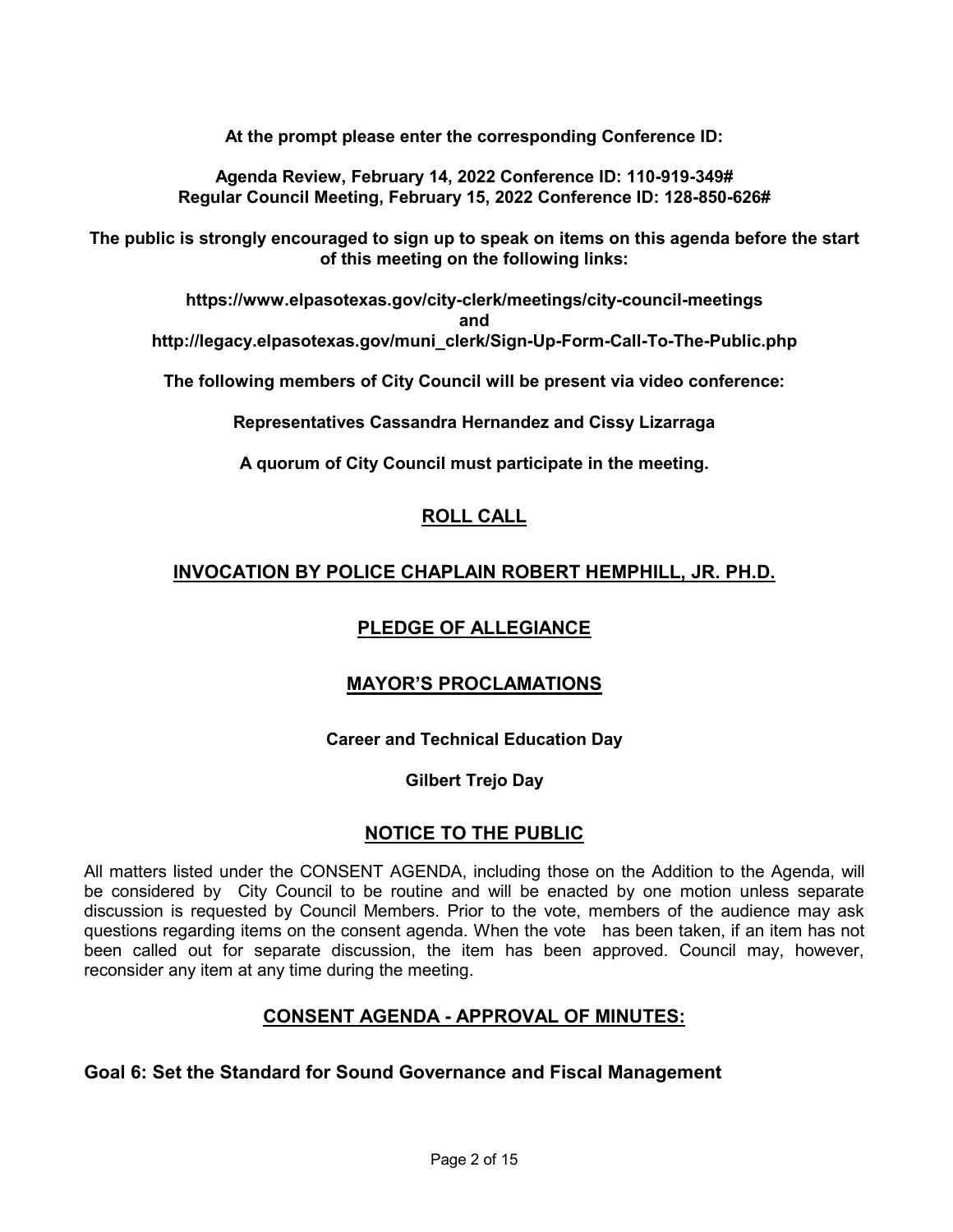**At the prompt please enter the corresponding Conference ID:**

**Agenda Review, February 14, 2022 Conference ID: 110-919-349# Regular Council Meeting, February 15, 2022 Conference ID: 128-850-626#**

**The public is strongly encouraged to sign up to speak on items on this agenda before the start of this meeting on the following links:**

**https://www.elpasotexas.gov/city-clerk/meetings/city-council-meetings and http://legacy.elpasotexas.gov/muni\_clerk/Sign-Up-Form-Call-To-The-Public.php**

**The following members of City Council will be present via video conference:**

**Representatives Cassandra Hernandez and Cissy Lizarraga**

**A quorum of City Council must participate in the meeting.**

# **ROLL CALL**

# **INVOCATION BY POLICE CHAPLAIN ROBERT HEMPHILL, JR. PH.D.**

# **PLEDGE OF ALLEGIANCE**

# **MAYOR'S PROCLAMATIONS**

## **Career and Technical Education Day**

## **Gilbert Trejo Day**

# **NOTICE TO THE PUBLIC**

All matters listed under the CONSENT AGENDA, including those on the Addition to the Agenda, will be considered by City Council to be routine and will be enacted by one motion unless separate discussion is requested by Council Members. Prior to the vote, members of the audience may ask questions regarding items on the consent agenda. When the vote has been taken, if an item has not been called out for separate discussion, the item has been approved. Council may, however, reconsider any item at any time during the meeting.

# **CONSENT AGENDA - APPROVAL OF MINUTES:**

# **Goal 6: Set the Standard for Sound Governance and Fiscal Management**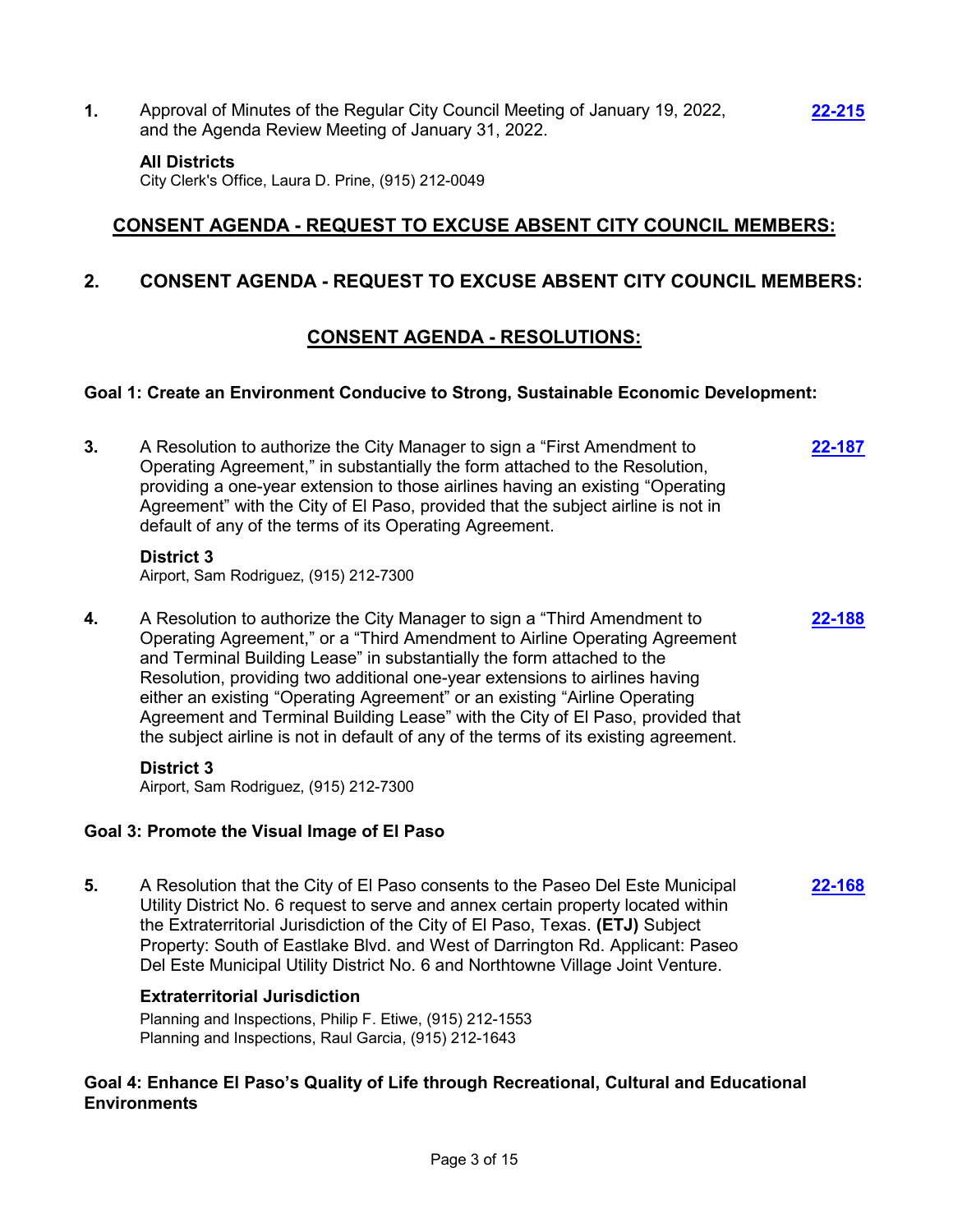**1.** Approval of Minutes of the Regular City Council Meeting of January 19, 2022, and the Agenda Review Meeting of January 31, 2022.

#### **All Districts**

City Clerk's Office, Laura D. Prine, (915) 212-0049

# **CONSENT AGENDA - REQUEST TO EXCUSE ABSENT CITY COUNCIL MEMBERS:**

**[22-215](http://elpasotexas.legistar.com/gateway.aspx?m=l&id=/matter.aspx?key=6679)**

# **2. CONSENT AGENDA - REQUEST TO EXCUSE ABSENT CITY COUNCIL MEMBERS:**

# **CONSENT AGENDA - RESOLUTIONS:**

#### **Goal 1: Create an Environment Conducive to Strong, Sustainable Economic Development:**

**3.** A Resolution to authorize the City Manager to sign a "First Amendment to Operating Agreement," in substantially the form attached to the Resolution, providing a one-year extension to those airlines having an existing "Operating Agreement" with the City of El Paso, provided that the subject airline is not in default of any of the terms of its Operating Agreement. **[22-187](http://elpasotexas.legistar.com/gateway.aspx?m=l&id=/matter.aspx?key=6651)**

#### **District 3**

Airport, Sam Rodriguez, (915) 212-7300

**4.** A Resolution to authorize the City Manager to sign a "Third Amendment to Operating Agreement," or a "Third Amendment to Airline Operating Agreement and Terminal Building Lease" in substantially the form attached to the Resolution, providing two additional one-year extensions to airlines having either an existing "Operating Agreement" or an existing "Airline Operating Agreement and Terminal Building Lease" with the City of El Paso, provided that the subject airline is not in default of any of the terms of its existing agreement. **[22-188](http://elpasotexas.legistar.com/gateway.aspx?m=l&id=/matter.aspx?key=6652)**

#### **District 3**

Airport, Sam Rodriguez, (915) 212-7300

#### **Goal 3: Promote the Visual Image of El Paso**

**5.** A Resolution that the City of El Paso consents to the Paseo Del Este Municipal Utility District No. 6 request to serve and annex certain property located within the Extraterritorial Jurisdiction of the City of El Paso, Texas. **(ETJ)** Subject Property: South of Eastlake Blvd. and West of Darrington Rd. Applicant: Paseo Del Este Municipal Utility District No. 6 and Northtowne Village Joint Venture. **[22-168](http://elpasotexas.legistar.com/gateway.aspx?m=l&id=/matter.aspx?key=6632)**

#### **Extraterritorial Jurisdiction**

Planning and Inspections, Philip F. Etiwe, (915) 212-1553 Planning and Inspections, Raul Garcia, (915) 212-1643

## **Goal 4: Enhance El Paso's Quality of Life through Recreational, Cultural and Educational Environments**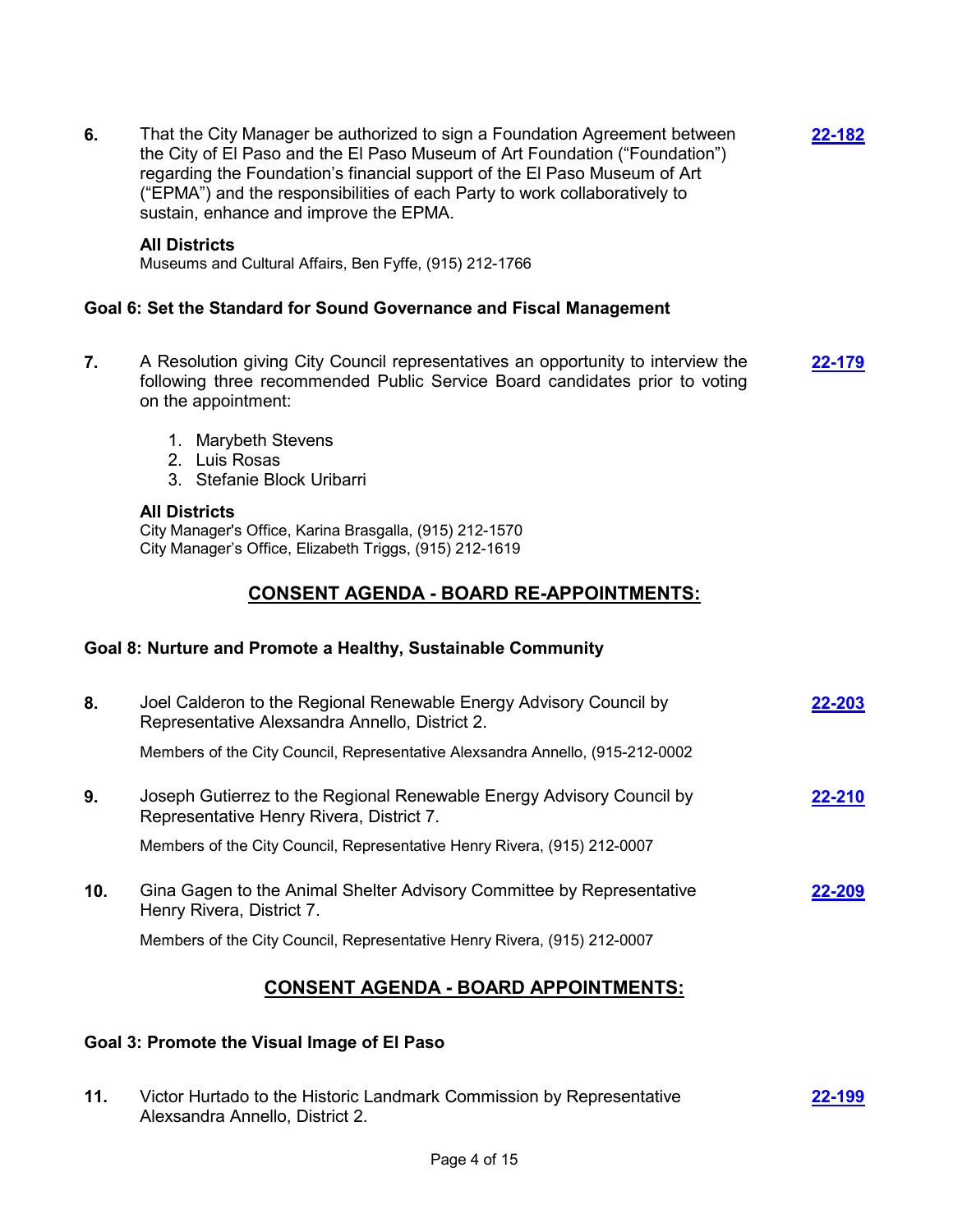**6.** That the City Manager be authorized to sign a Foundation Agreement between the City of El Paso and the El Paso Museum of Art Foundation ("Foundation") regarding the Foundation's financial support of the El Paso Museum of Art ("EPMA") and the responsibilities of each Party to work collaboratively to sustain, enhance and improve the EPMA. **[22-182](http://elpasotexas.legistar.com/gateway.aspx?m=l&id=/matter.aspx?key=6646)**

### **All Districts**

Museums and Cultural Affairs, Ben Fyffe, (915) 212-1766

### **Goal 6: Set the Standard for Sound Governance and Fiscal Management**

- **7.** A Resolution giving City Council representatives an opportunity to interview the following three recommended Public Service Board candidates prior to voting on the appointment: **[22-179](http://elpasotexas.legistar.com/gateway.aspx?m=l&id=/matter.aspx?key=6643)**
	- 1. Marybeth Stevens
	- 2. Luis Rosas
	- 3. Stefanie Block Uribarri

#### **All Districts**

City Manager's Office, Karina Brasgalla, (915) 212-1570 City Manager's Office, Elizabeth Triggs, (915) 212-1619

# **CONSENT AGENDA - BOARD RE-APPOINTMENTS:**

## **Goal 8: Nurture and Promote a Healthy, Sustainable Community**

| 8.  | Joel Calderon to the Regional Renewable Energy Advisory Council by<br>Representative Alexsandra Annello, District 2. | 22-203 |
|-----|----------------------------------------------------------------------------------------------------------------------|--------|
|     | Members of the City Council, Representative Alexsandra Annello, (915-212-0002                                        |        |
| 9.  | Joseph Gutierrez to the Regional Renewable Energy Advisory Council by<br>Representative Henry Rivera, District 7.    | 22-210 |
|     | Members of the City Council, Representative Henry Rivera, (915) 212-0007                                             |        |
| 10. | Gina Gagen to the Animal Shelter Advisory Committee by Representative<br>Henry Rivera, District 7.                   | 22-209 |
|     | Members of the City Council, Representative Henry Rivera, (915) 212-0007                                             |        |

# **CONSENT AGENDA - BOARD APPOINTMENTS:**

## **Goal 3: Promote the Visual Image of El Paso**

**11.** Victor Hurtado to the Historic Landmark Commission by Representative Alexsandra Annello, District 2. **[22-199](http://elpasotexas.legistar.com/gateway.aspx?m=l&id=/matter.aspx?key=6663)**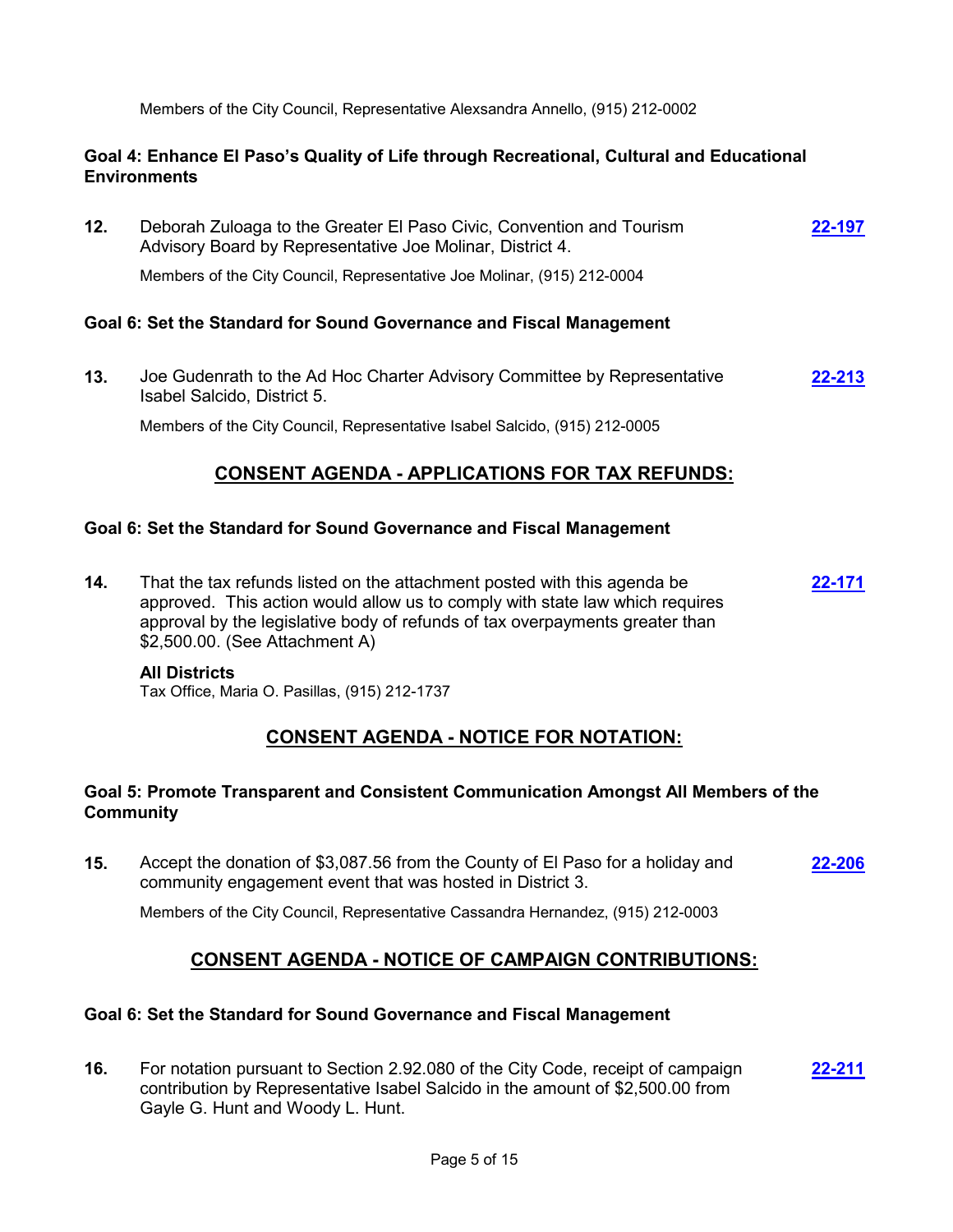Members of the City Council, Representative Alexsandra Annello, (915) 212-0002

## **Goal 4: Enhance El Paso's Quality of Life through Recreational, Cultural and Educational Environments**

**12.** Deborah Zuloaga to the Greater El Paso Civic, Convention and Tourism Advisory Board by Representative Joe Molinar, District 4. **[22-197](http://elpasotexas.legistar.com/gateway.aspx?m=l&id=/matter.aspx?key=6661)** Members of the City Council, Representative Joe Molinar, (915) 212-0004

### **Goal 6: Set the Standard for Sound Governance and Fiscal Management**

**13.** Joe Gudenrath to the Ad Hoc Charter Advisory Committee by Representative Isabel Salcido, District 5. **[22-213](http://elpasotexas.legistar.com/gateway.aspx?m=l&id=/matter.aspx?key=6677)**

Members of the City Council, Representative Isabel Salcido, (915) 212-0005

# **CONSENT AGENDA - APPLICATIONS FOR TAX REFUNDS:**

#### **Goal 6: Set the Standard for Sound Governance and Fiscal Management**

**14.** That the tax refunds listed on the attachment posted with this agenda be approved. This action would allow us to comply with state law which requires approval by the legislative body of refunds of tax overpayments greater than \$2,500.00. (See Attachment A) **[22-171](http://elpasotexas.legistar.com/gateway.aspx?m=l&id=/matter.aspx?key=6635)**

#### **All Districts**

Tax Office, Maria O. Pasillas, (915) 212-1737

# **CONSENT AGENDA - NOTICE FOR NOTATION:**

## **Goal 5: Promote Transparent and Consistent Communication Amongst All Members of the Community**

**15.** Accept the donation of \$3,087.56 from the County of El Paso for a holiday and community engagement event that was hosted in District 3. **[22-206](http://elpasotexas.legistar.com/gateway.aspx?m=l&id=/matter.aspx?key=6670)**

Members of the City Council, Representative Cassandra Hernandez, (915) 212-0003

# **CONSENT AGENDA - NOTICE OF CAMPAIGN CONTRIBUTIONS:**

#### **Goal 6: Set the Standard for Sound Governance and Fiscal Management**

**16.** For notation pursuant to Section 2.92.080 of the City Code, receipt of campaign contribution by Representative Isabel Salcido in the amount of \$2,500.00 from Gayle G. Hunt and Woody L. Hunt. **[22-211](http://elpasotexas.legistar.com/gateway.aspx?m=l&id=/matter.aspx?key=6675)**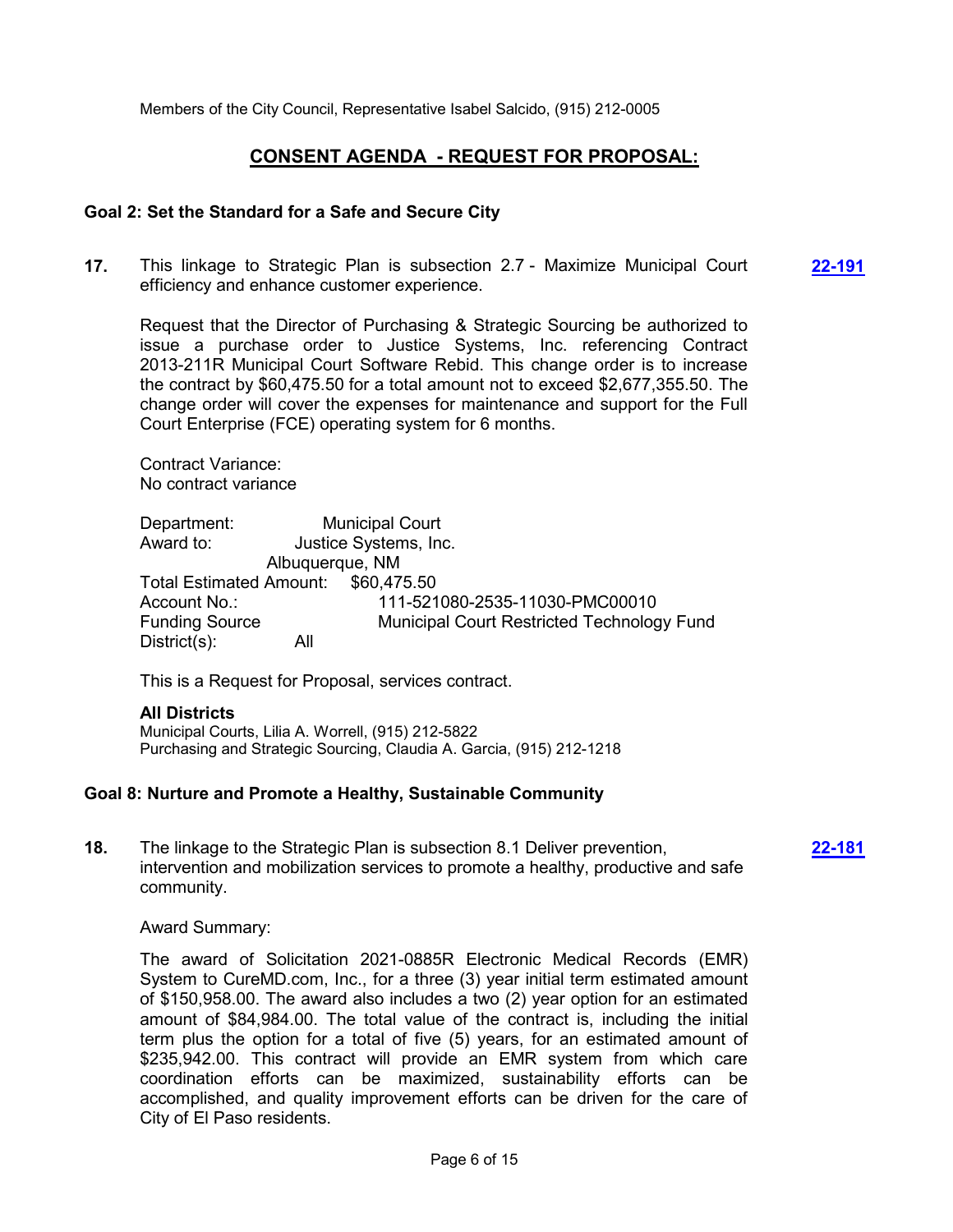Members of the City Council, Representative Isabel Salcido, (915) 212-0005

# **CONSENT AGENDA - REQUEST FOR PROPOSAL:**

#### **Goal 2: Set the Standard for a Safe and Secure City**

**17.** This linkage to Strategic Plan is subsection 2.7 - Maximize Municipal Court efficiency and enhance customer experience. **[22-191](http://elpasotexas.legistar.com/gateway.aspx?m=l&id=/matter.aspx?key=6655)**

Request that the Director of Purchasing & Strategic Sourcing be authorized to issue a purchase order to Justice Systems, Inc. referencing Contract 2013-211R Municipal Court Software Rebid. This change order is to increase the contract by \$60,475.50 for a total amount not to exceed \$2,677,355.50. The change order will cover the expenses for maintenance and support for the Full Court Enterprise (FCE) operating system for 6 months.

Contract Variance: No contract variance

Department: Municipal Court Award to: Justice Systems, Inc. Albuquerque, NM Total Estimated Amount: \$60,475.50 Account No.: 111-521080-2535-11030-PMC00010 Funding Source Municipal Court Restricted Technology Fund District(s): All

This is a Request for Proposal, services contract.

## **All Districts**

Municipal Courts, Lilia A. Worrell, (915) 212-5822 Purchasing and Strategic Sourcing, Claudia A. Garcia, (915) 212-1218

#### **Goal 8: Nurture and Promote a Healthy, Sustainable Community**

**18.** The linkage to the Strategic Plan is subsection 8.1 Deliver prevention, intervention and mobilization services to promote a healthy, productive and safe community.

**[22-181](http://elpasotexas.legistar.com/gateway.aspx?m=l&id=/matter.aspx?key=6645)**

Award Summary:

The award of Solicitation 2021-0885R Electronic Medical Records (EMR) System to CureMD.com, Inc., for a three (3) year initial term estimated amount of \$150,958.00. The award also includes a two (2) year option for an estimated amount of \$84,984.00. The total value of the contract is, including the initial term plus the option for a total of five (5) years, for an estimated amount of \$235,942.00. This contract will provide an EMR system from which care coordination efforts can be maximized, sustainability efforts can be accomplished, and quality improvement efforts can be driven for the care of City of El Paso residents.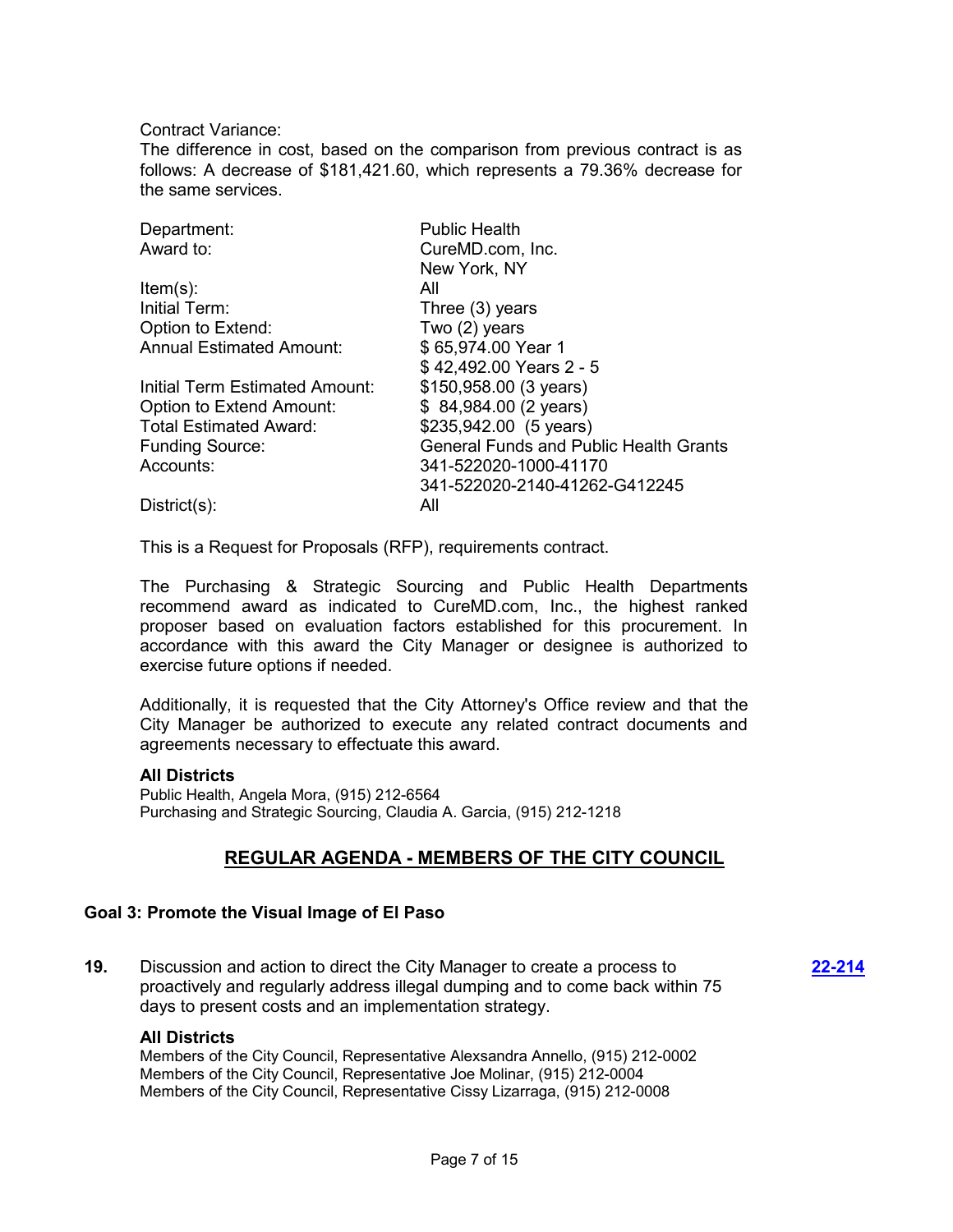Contract Variance:

The difference in cost, based on the comparison from previous contract is as follows: A decrease of \$181,421.60, which represents a 79.36% decrease for the same services.

| Department:                     | <b>Public Health</b>                          |
|---------------------------------|-----------------------------------------------|
| Award to:                       | CureMD.com, Inc.                              |
|                                 | New York, NY                                  |
| $Item(s)$ :                     | All                                           |
| Initial Term:                   | Three (3) years                               |
| Option to Extend:               | Two (2) years                                 |
| <b>Annual Estimated Amount:</b> | \$65,974.00 Year 1                            |
|                                 | \$42,492.00 Years 2 - 5                       |
| Initial Term Estimated Amount:  | \$150,958.00 (3 years)                        |
| <b>Option to Extend Amount:</b> | \$84,984.00 (2 years)                         |
| <b>Total Estimated Award:</b>   | \$235,942.00 (5 years)                        |
| <b>Funding Source:</b>          | <b>General Funds and Public Health Grants</b> |
| Accounts:                       | 341-522020-1000-41170                         |
|                                 | 341-522020-2140-41262-G412245                 |
| $District(s)$ :                 | All                                           |

This is a Request for Proposals (RFP), requirements contract.

The Purchasing & Strategic Sourcing and Public Health Departments recommend award as indicated to CureMD.com, Inc., the highest ranked proposer based on evaluation factors established for this procurement. In accordance with this award the City Manager or designee is authorized to exercise future options if needed.

Additionally, it is requested that the City Attorney's Office review and that the City Manager be authorized to execute any related contract documents and agreements necessary to effectuate this award.

#### **All Districts**

Public Health, Angela Mora, (915) 212-6564 Purchasing and Strategic Sourcing, Claudia A. Garcia, (915) 212-1218

# **REGULAR AGENDA - MEMBERS OF THE CITY COUNCIL**

#### **Goal 3: Promote the Visual Image of El Paso**

**19.** Discussion and action to direct the City Manager to create a process to proactively and regularly address illegal dumping and to come back within 75 days to present costs and an implementation strategy.

**[22-214](http://elpasotexas.legistar.com/gateway.aspx?m=l&id=/matter.aspx?key=6678)**

#### **All Districts**

Members of the City Council, Representative Alexsandra Annello, (915) 212-0002 Members of the City Council, Representative Joe Molinar, (915) 212-0004 Members of the City Council, Representative Cissy Lizarraga, (915) 212-0008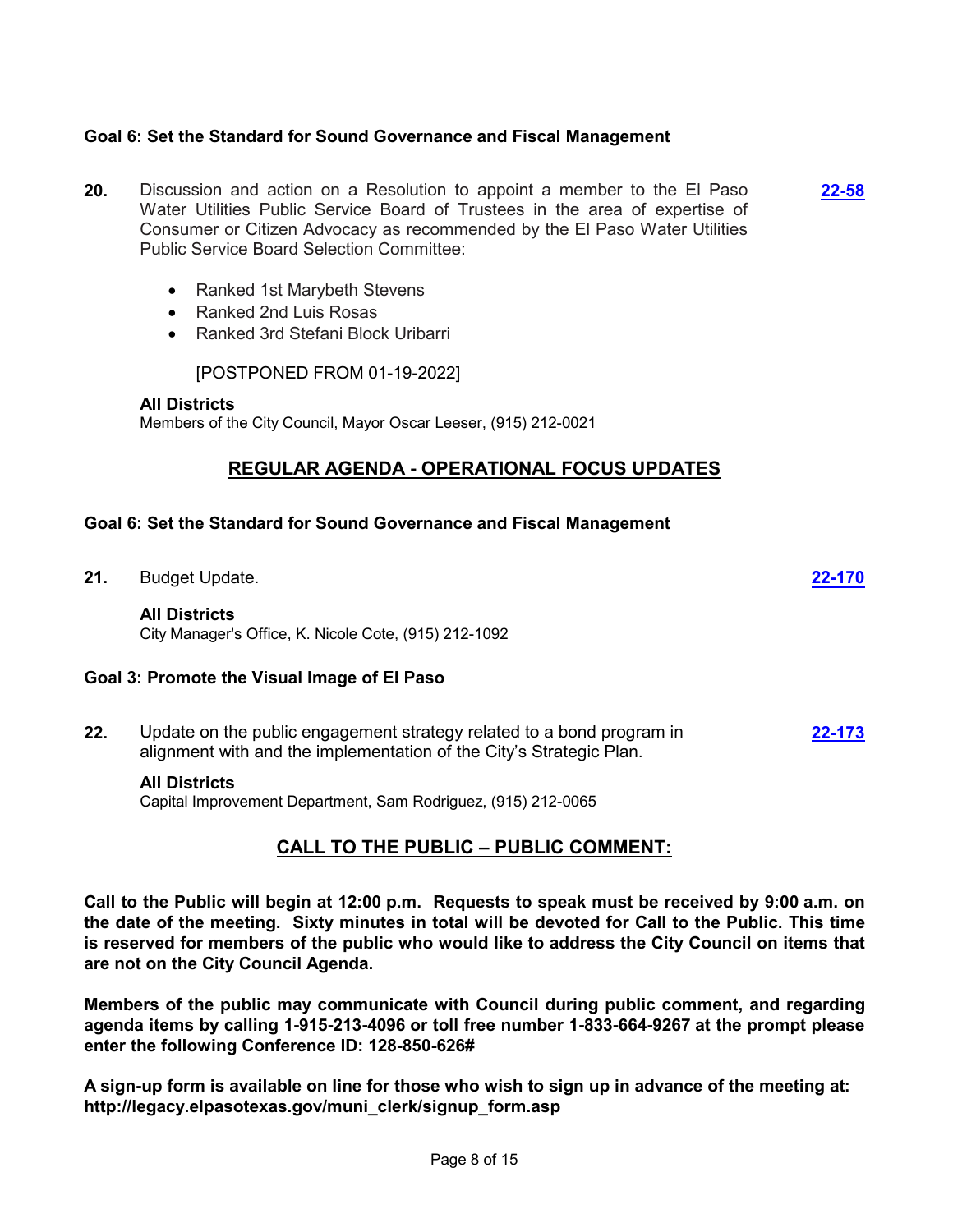## **Goal 6: Set the Standard for Sound Governance and Fiscal Management**

- **20.** Discussion and action on a Resolution to appoint a member to the El Paso Water Utilities Public Service Board of Trustees in the area of expertise of Consumer or Citizen Advocacy as recommended by the El Paso Water Utilities Public Service Board Selection Committee: **[22-58](http://elpasotexas.legistar.com/gateway.aspx?m=l&id=/matter.aspx?key=6522)**
	- · Ranked 1st Marybeth Stevens
	- · Ranked 2nd Luis Rosas
	- · Ranked 3rd Stefani Block Uribarri

[POSTPONED FROM 01-19-2022]

## **All Districts** Members of the City Council, Mayor Oscar Leeser, (915) 212-0021

# **REGULAR AGENDA - OPERATIONAL FOCUS UPDATES**

#### **Goal 6: Set the Standard for Sound Governance and Fiscal Management**

**21.** Budget Update. **[22-170](http://elpasotexas.legistar.com/gateway.aspx?m=l&id=/matter.aspx?key=6634)**

#### **All Districts**

City Manager's Office, K. Nicole Cote, (915) 212-1092

#### **Goal 3: Promote the Visual Image of El Paso**

**22.** Update on the public engagement strategy related to a bond program in alignment with and the implementation of the City's Strategic Plan. **[22-173](http://elpasotexas.legistar.com/gateway.aspx?m=l&id=/matter.aspx?key=6637)**

#### **All Districts**

Capital Improvement Department, Sam Rodriguez, (915) 212-0065

## **CALL TO THE PUBLIC – PUBLIC COMMENT:**

**Call to the Public will begin at 12:00 p.m. Requests to speak must be received by 9:00 a.m. on the date of the meeting. Sixty minutes in total will be devoted for Call to the Public. This time is reserved for members of the public who would like to address the City Council on items that are not on the City Council Agenda.**

**Members of the public may communicate with Council during public comment, and regarding agenda items by calling 1-915-213-4096 or toll free number 1-833-664-9267 at the prompt please enter the following Conference ID: 128-850-626#**

**A sign-up form is available on line for those who wish to sign up in advance of the meeting at: http://legacy.elpasotexas.gov/muni\_clerk/signup\_form.asp**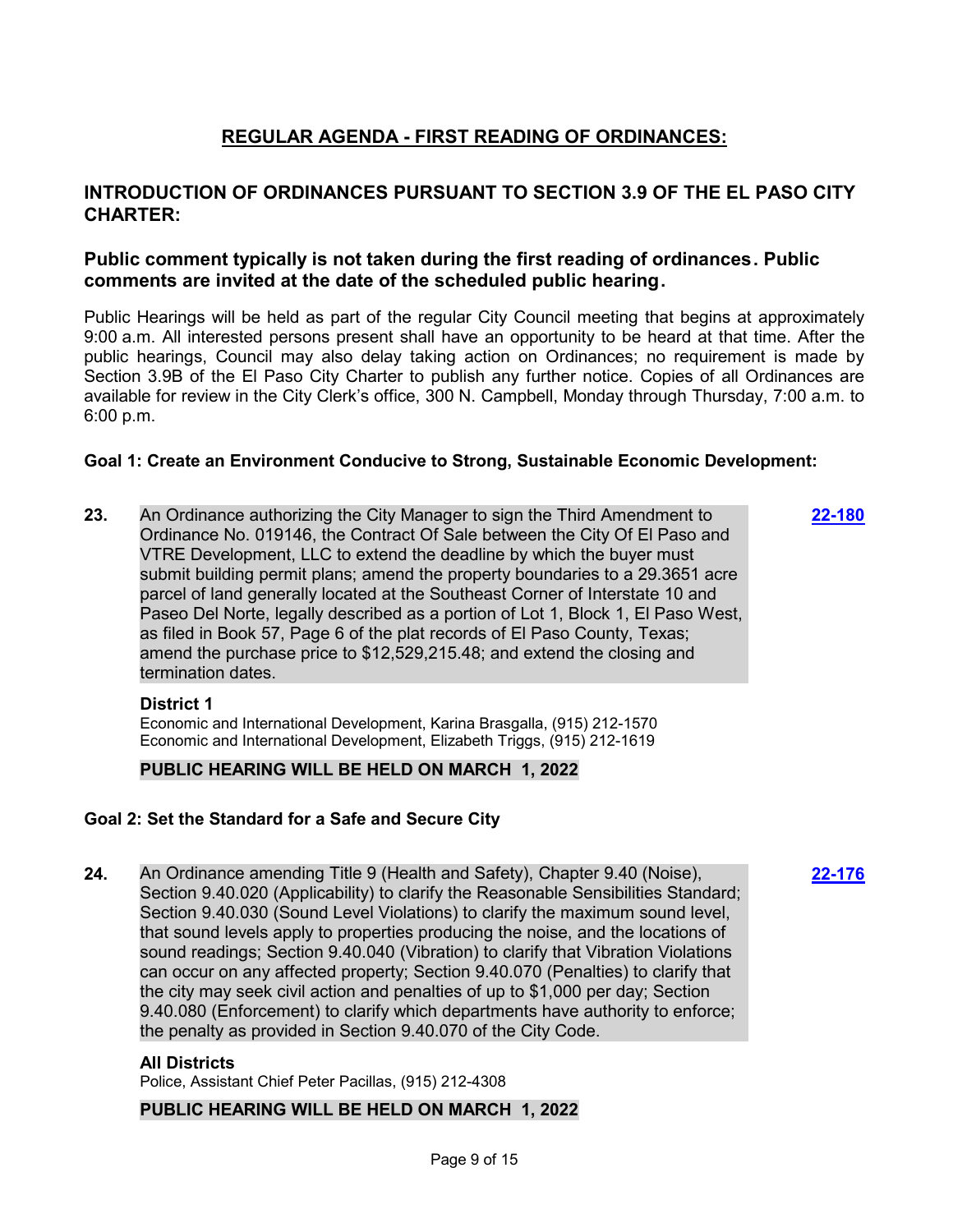# **REGULAR AGENDA - FIRST READING OF ORDINANCES:**

# **INTRODUCTION OF ORDINANCES PURSUANT TO SECTION 3.9 OF THE EL PASO CITY CHARTER:**

# **Public comment typically is not taken during the first reading of ordinances. Public comments are invited at the date of the scheduled public hearing.**

Public Hearings will be held as part of the regular City Council meeting that begins at approximately 9:00 a.m. All interested persons present shall have an opportunity to be heard at that time. After the public hearings, Council may also delay taking action on Ordinances; no requirement is made by Section 3.9B of the El Paso City Charter to publish any further notice. Copies of all Ordinances are available for review in the City Clerk's office, 300 N. Campbell, Monday through Thursday, 7:00 a.m. to 6:00 p.m.

## **Goal 1: Create an Environment Conducive to Strong, Sustainable Economic Development:**

**23.** An Ordinance authorizing the City Manager to sign the Third Amendment to Ordinance No. 019146, the Contract Of Sale between the City Of El Paso and VTRE Development, LLC to extend the deadline by which the buyer must submit building permit plans; amend the property boundaries to a 29.3651 acre parcel of land generally located at the Southeast Corner of Interstate 10 and Paseo Del Norte, legally described as a portion of Lot 1, Block 1, El Paso West, as filed in Book 57, Page 6 of the plat records of El Paso County, Texas; amend the purchase price to \$12,529,215.48; and extend the closing and termination dates.

**[22-180](http://elpasotexas.legistar.com/gateway.aspx?m=l&id=/matter.aspx?key=6644)**

**[22-176](http://elpasotexas.legistar.com/gateway.aspx?m=l&id=/matter.aspx?key=6640)**

#### **District 1**

Economic and International Development, Karina Brasgalla, (915) 212-1570 Economic and International Development, Elizabeth Triggs, (915) 212-1619

## **PUBLIC HEARING WILL BE HELD ON MARCH 1, 2022**

## **Goal 2: Set the Standard for a Safe and Secure City**

**24.** An Ordinance amending Title 9 (Health and Safety), Chapter 9.40 (Noise), Section 9.40.020 (Applicability) to clarify the Reasonable Sensibilities Standard; Section 9.40.030 (Sound Level Violations) to clarify the maximum sound level, that sound levels apply to properties producing the noise, and the locations of sound readings; Section 9.40.040 (Vibration) to clarify that Vibration Violations can occur on any affected property; Section 9.40.070 (Penalties) to clarify that the city may seek civil action and penalties of up to \$1,000 per day; Section 9.40.080 (Enforcement) to clarify which departments have authority to enforce; the penalty as provided in Section 9.40.070 of the City Code.

#### **All Districts**

Police, Assistant Chief Peter Pacillas, (915) 212-4308

#### **PUBLIC HEARING WILL BE HELD ON MARCH 1, 2022**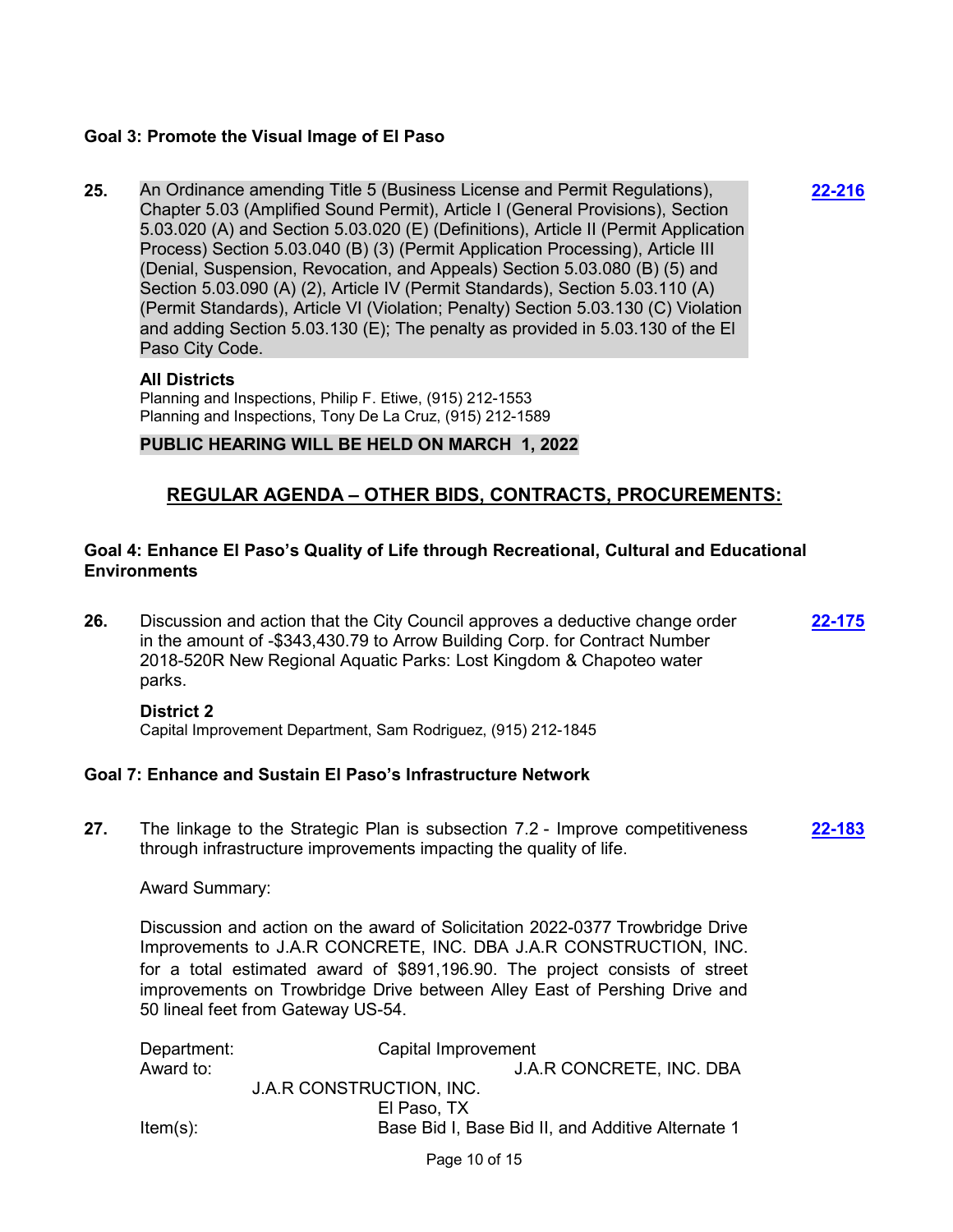### **Goal 3: Promote the Visual Image of El Paso**

**25.** An Ordinance amending Title 5 (Business License and Permit Regulations), Chapter 5.03 (Amplified Sound Permit), Article I (General Provisions), Section 5.03.020 (A) and Section 5.03.020 (E) (Definitions), Article II (Permit Application Process) Section 5.03.040 (B) (3) (Permit Application Processing), Article III (Denial, Suspension, Revocation, and Appeals) Section 5.03.080 (B) (5) and Section 5.03.090 (A) (2), Article IV (Permit Standards), Section 5.03.110 (A) (Permit Standards), Article VI (Violation; Penalty) Section 5.03.130 (C) Violation and adding Section 5.03.130 (E); The penalty as provided in 5.03.130 of the El Paso City Code.

**[22-216](http://elpasotexas.legistar.com/gateway.aspx?m=l&id=/matter.aspx?key=6680)**

### **All Districts**

Planning and Inspections, Philip F. Etiwe, (915) 212-1553 Planning and Inspections, Tony De La Cruz, (915) 212-1589

### **PUBLIC HEARING WILL BE HELD ON MARCH 1, 2022**

# **REGULAR AGENDA – OTHER BIDS, CONTRACTS, PROCUREMENTS:**

### **Goal 4: Enhance El Paso's Quality of Life through Recreational, Cultural and Educational Environments**

**26.** Discussion and action that the City Council approves a deductive change order in the amount of -\$343,430.79 to Arrow Building Corp. for Contract Number 2018-520R New Regional Aquatic Parks: Lost Kingdom & Chapoteo water parks. **[22-175](http://elpasotexas.legistar.com/gateway.aspx?m=l&id=/matter.aspx?key=6639)**

#### **District 2**

Capital Improvement Department, Sam Rodriguez, (915) 212-1845

#### **Goal 7: Enhance and Sustain El Paso's Infrastructure Network**

**27.** The linkage to the Strategic Plan is subsection 7.2 - Improve competitiveness through infrastructure improvements impacting the quality of life. **[22-183](http://elpasotexas.legistar.com/gateway.aspx?m=l&id=/matter.aspx?key=6647)**

#### Award Summary:

Discussion and action on the award of Solicitation 2022-0377 Trowbridge Drive Improvements to J.A.R CONCRETE, INC. DBA J.A.R CONSTRUCTION, INC. for a total estimated award of \$891,196.90. The project consists of street improvements on Trowbridge Drive between Alley East of Pershing Drive and 50 lineal feet from Gateway US-54.

| Department: | Capital Improvement                               |  |
|-------------|---------------------------------------------------|--|
| Award to:   | J.A.R CONCRETE, INC. DBA                          |  |
|             | J.A.R CONSTRUCTION, INC.                          |  |
|             | El Paso, TX                                       |  |
| $Item(s)$ : | Base Bid I, Base Bid II, and Additive Alternate 1 |  |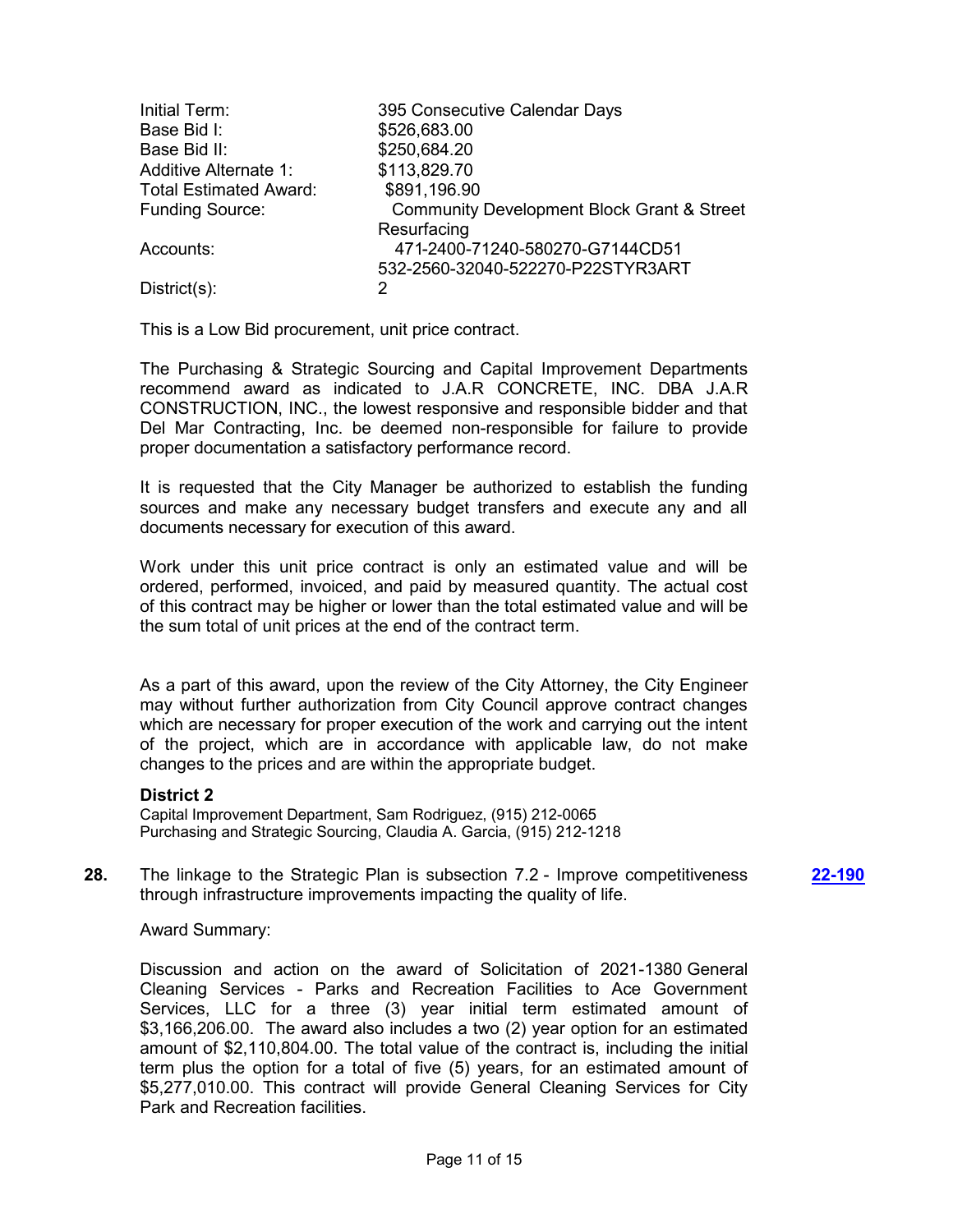| Initial Term:                 | 395 Consecutive Calendar Days                         |
|-------------------------------|-------------------------------------------------------|
| Base Bid I:                   | \$526,683.00                                          |
| Base Bid II:                  | \$250,684.20                                          |
| <b>Additive Alternate 1:</b>  | \$113,829.70                                          |
| <b>Total Estimated Award:</b> | \$891,196.90                                          |
| <b>Funding Source:</b>        | <b>Community Development Block Grant &amp; Street</b> |
|                               | Resurfacing                                           |
| Accounts:                     | 471-2400-71240-580270-G7144CD51                       |
|                               | 532-2560-32040-522270-P22STYR3ART                     |
| $District(s)$ :               | 2                                                     |

This is a Low Bid procurement, unit price contract.

The Purchasing & Strategic Sourcing and Capital Improvement Departments recommend award as indicated to J.A.R CONCRETE, INC. DBA J.A.R CONSTRUCTION, INC., the lowest responsive and responsible bidder and that Del Mar Contracting, Inc. be deemed non-responsible for failure to provide proper documentation a satisfactory performance record.

It is requested that the City Manager be authorized to establish the funding sources and make any necessary budget transfers and execute any and all documents necessary for execution of this award.

Work under this unit price contract is only an estimated value and will be ordered, performed, invoiced, and paid by measured quantity. The actual cost of this contract may be higher or lower than the total estimated value and will be the sum total of unit prices at the end of the contract term.

As a part of this award, upon the review of the City Attorney, the City Engineer may without further authorization from City Council approve contract changes which are necessary for proper execution of the work and carrying out the intent of the project, which are in accordance with applicable law, do not make changes to the prices and are within the appropriate budget.

#### **District 2**

Capital Improvement Department, Sam Rodriguez, (915) 212-0065 Purchasing and Strategic Sourcing, Claudia A. Garcia, (915) 212-1218

**28.** The linkage to the Strategic Plan is subsection 7.2 - Improve competitiveness through infrastructure improvements impacting the quality of life. **[22-190](http://elpasotexas.legistar.com/gateway.aspx?m=l&id=/matter.aspx?key=6654)**

#### Award Summary:

Discussion and action on the award of Solicitation of 2021-1380 General Cleaning Services - Parks and Recreation Facilities to Ace Government Services, LLC for a three (3) year initial term estimated amount of \$3,166,206.00. The award also includes a two (2) year option for an estimated amount of \$2,110,804.00. The total value of the contract is, including the initial term plus the option for a total of five (5) years, for an estimated amount of \$5,277,010.00. This contract will provide General Cleaning Services for City Park and Recreation facilities.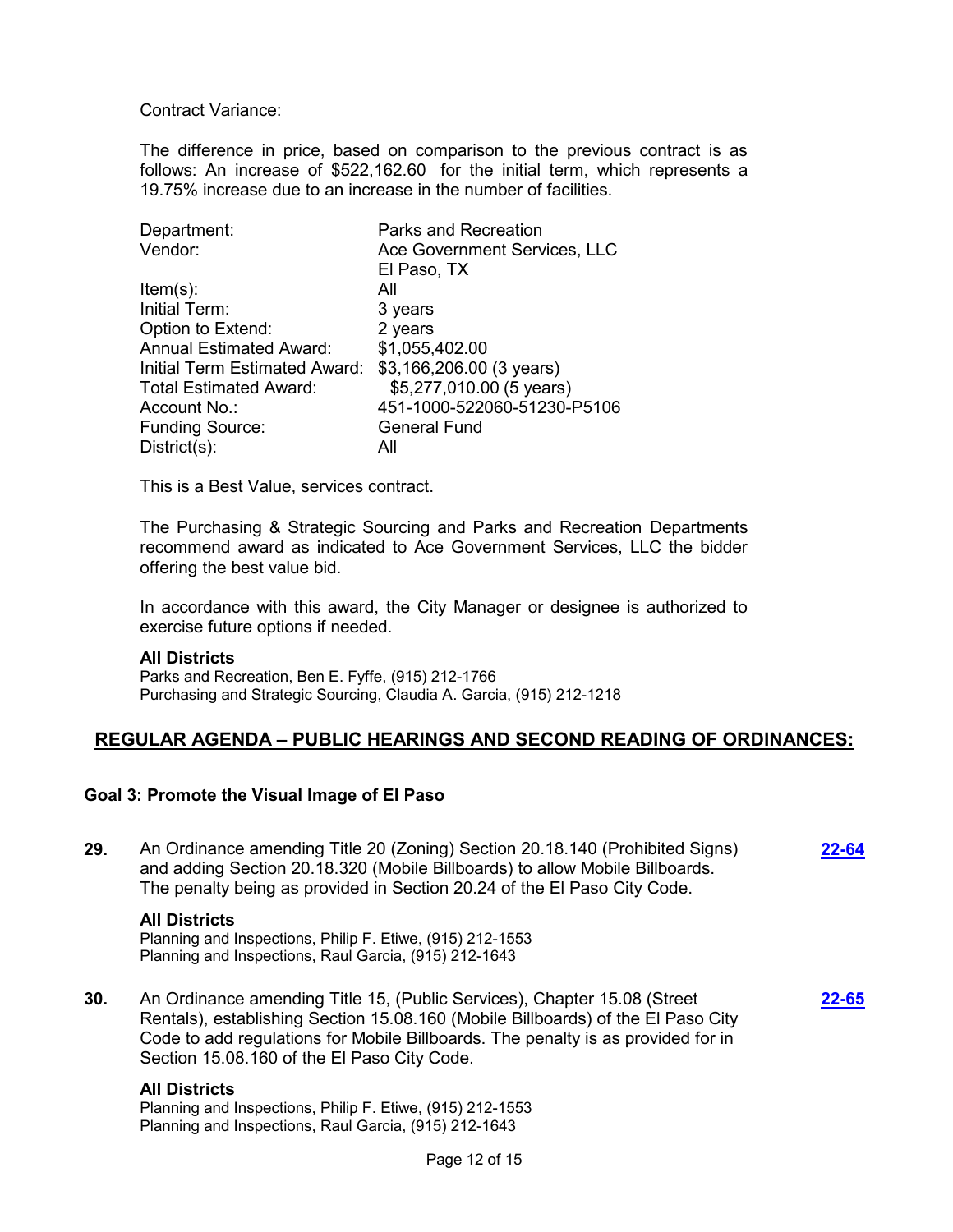Contract Variance:

The difference in price, based on comparison to the previous contract is as follows: An increase of \$522,162.60 for the initial term, which represents a 19.75% increase due to an increase in the number of facilities.

| Department:                    | <b>Parks and Recreation</b>  |
|--------------------------------|------------------------------|
| Vendor:                        | Ace Government Services, LLC |
|                                | El Paso, TX                  |
| $Item(s)$ :                    | All                          |
| Initial Term:                  | 3 years                      |
| Option to Extend:              | 2 years                      |
| <b>Annual Estimated Award:</b> | \$1,055,402.00               |
| Initial Term Estimated Award:  | \$3,166,206.00 (3 years)     |
| <b>Total Estimated Award:</b>  | \$5,277,010.00 (5 years)     |
| Account No.:                   | 451-1000-522060-51230-P5106  |
| <b>Funding Source:</b>         | <b>General Fund</b>          |
| $Distribt(s)$ :                | All                          |

This is a Best Value, services contract.

The Purchasing & Strategic Sourcing and Parks and Recreation Departments recommend award as indicated to Ace Government Services, LLC the bidder offering the best value bid.

In accordance with this award, the City Manager or designee is authorized to exercise future options if needed.

#### **All Districts**

Parks and Recreation, Ben E. Fyffe, (915) 212-1766 Purchasing and Strategic Sourcing, Claudia A. Garcia, (915) 212-1218

## **REGULAR AGENDA – PUBLIC HEARINGS AND SECOND READING OF ORDINANCES:**

#### **Goal 3: Promote the Visual Image of El Paso**

**29.** An Ordinance amending Title 20 (Zoning) Section 20.18.140 (Prohibited Signs) and adding Section 20.18.320 (Mobile Billboards) to allow Mobile Billboards. The penalty being as provided in Section 20.24 of the El Paso City Code. **[22-64](http://elpasotexas.legistar.com/gateway.aspx?m=l&id=/matter.aspx?key=6528)**

#### **All Districts**

Planning and Inspections, Philip F. Etiwe, (915) 212-1553 Planning and Inspections, Raul Garcia, (915) 212-1643

**30.** An Ordinance amending Title 15, (Public Services), Chapter 15.08 (Street Rentals), establishing Section 15.08.160 (Mobile Billboards) of the El Paso City Code to add regulations for Mobile Billboards. The penalty is as provided for in Section 15.08.160 of the El Paso City Code. **[22-65](http://elpasotexas.legistar.com/gateway.aspx?m=l&id=/matter.aspx?key=6529)**

#### **All Districts**

Planning and Inspections, Philip F. Etiwe, (915) 212-1553 Planning and Inspections, Raul Garcia, (915) 212-1643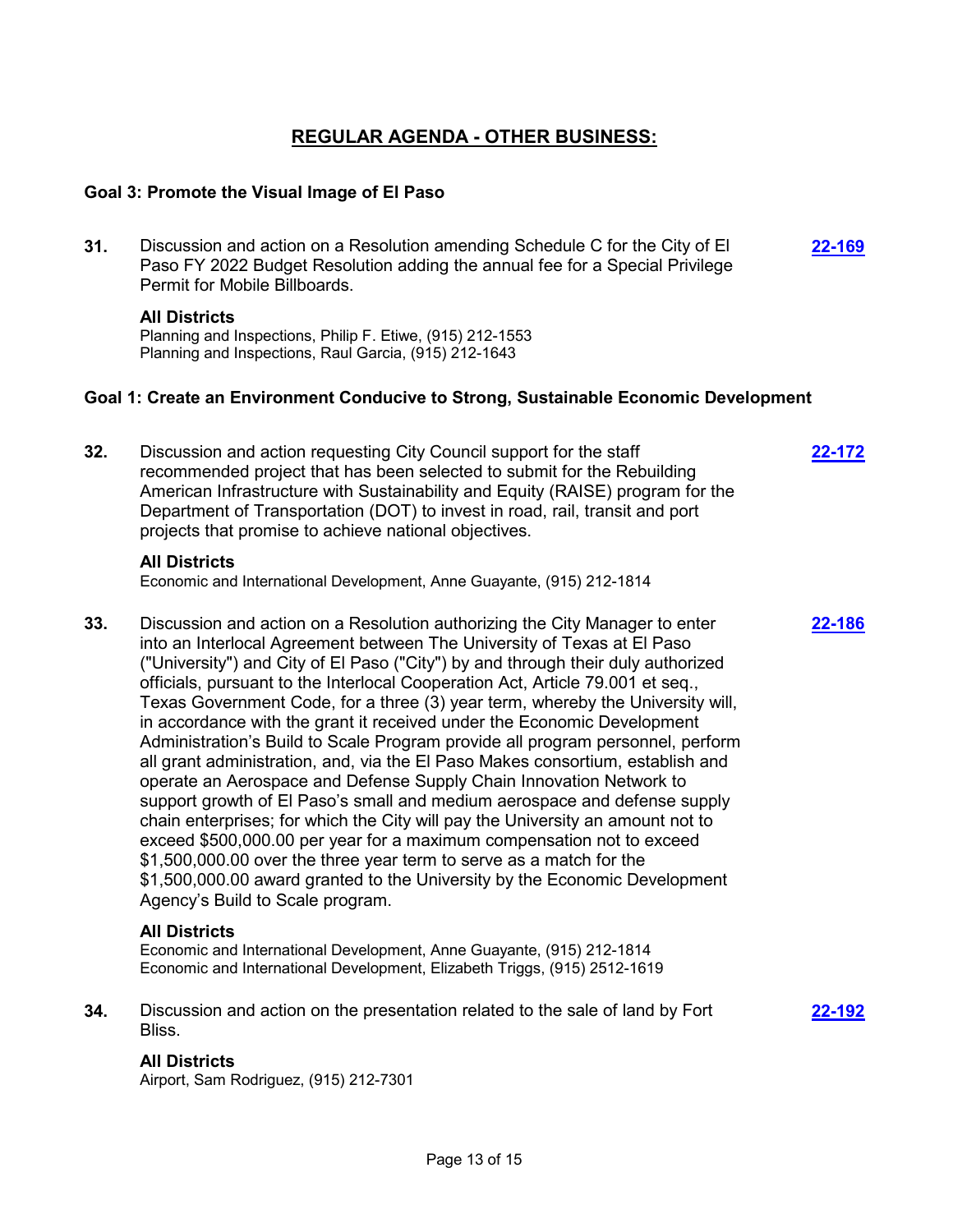# **REGULAR AGENDA - OTHER BUSINESS:**

### **Goal 3: Promote the Visual Image of El Paso**

**31.** Discussion and action on a Resolution amending Schedule C for the City of El Paso FY 2022 Budget Resolution adding the annual fee for a Special Privilege Permit for Mobile Billboards. **[22-169](http://elpasotexas.legistar.com/gateway.aspx?m=l&id=/matter.aspx?key=6633)**

#### **All Districts**

Planning and Inspections, Philip F. Etiwe, (915) 212-1553 Planning and Inspections, Raul Garcia, (915) 212-1643

#### **Goal 1: Create an Environment Conducive to Strong, Sustainable Economic Development**

- **32.** Discussion and action requesting City Council support for the staff recommended project that has been selected to submit for the Rebuilding American Infrastructure with Sustainability and Equity (RAISE) program for the Department of Transportation (DOT) to invest in road, rail, transit and port projects that promise to achieve national objectives. **[22-172](http://elpasotexas.legistar.com/gateway.aspx?m=l&id=/matter.aspx?key=6636) All Districts** Economic and International Development, Anne Guayante, (915) 212-1814 **33.** Discussion and action on a Resolution authorizing the City Manager to enter into an Interlocal Agreement between The University of Texas at El Paso ("University") and City of El Paso ("City") by and through their duly authorized officials, pursuant to the Interlocal Cooperation Act, Article 79.001 et seq., Texas Government Code, for a three (3) year term, whereby the University will, in accordance with the grant it received under the Economic Development Administration's Build to Scale Program provide all program personnel, perform all grant administration, and, via the El Paso Makes consortium, establish and operate an Aerospace and Defense Supply Chain Innovation Network to support growth of El Paso's small and medium aerospace and defense supply chain enterprises; for which the City will pay the University an amount not to exceed \$500,000.00 per year for a maximum compensation not to exceed \$1,500,000.00 over the three year term to serve as a match for the \$1,500,000.00 award granted to the University by the Economic Development Agency's Build to Scale program. **[22-186](http://elpasotexas.legistar.com/gateway.aspx?m=l&id=/matter.aspx?key=6650) All Districts** Economic and International Development, Anne Guayante, (915) 212-1814 Economic and International Development, Elizabeth Triggs, (915) 2512-1619
- **34.** Discussion and action on the presentation related to the sale of land by Fort Bliss.

**[22-192](http://elpasotexas.legistar.com/gateway.aspx?m=l&id=/matter.aspx?key=6656)**

## **All Districts**

Airport, Sam Rodriguez, (915) 212-7301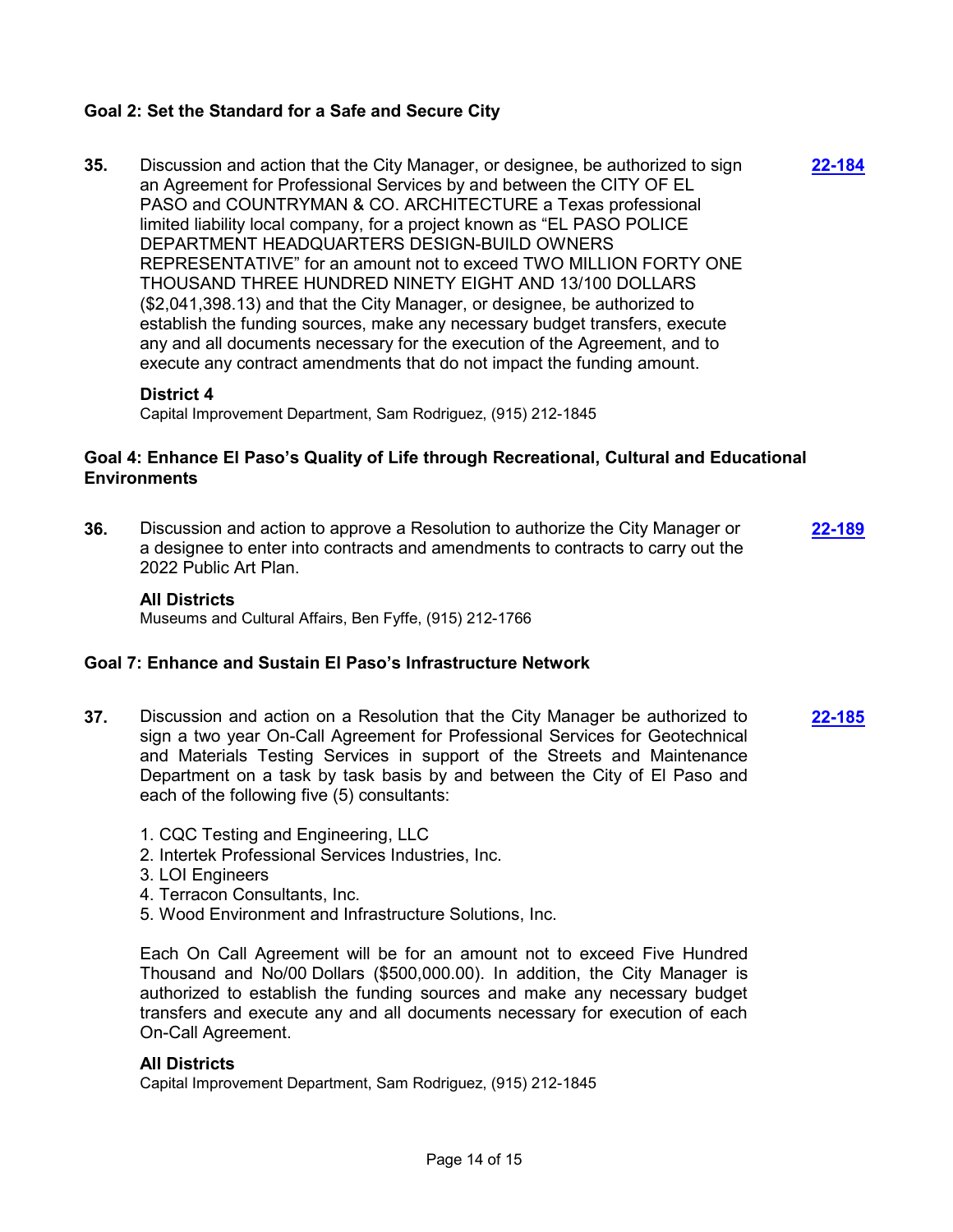## **Goal 2: Set the Standard for a Safe and Secure City**

**35.** Discussion and action that the City Manager, or designee, be authorized to sign an Agreement for Professional Services by and between the CITY OF EL PASO and COUNTRYMAN & CO. ARCHITECTURE a Texas professional limited liability local company, for a project known as "EL PASO POLICE DEPARTMENT HEADQUARTERS DESIGN-BUILD OWNERS REPRESENTATIVE" for an amount not to exceed TWO MILLION FORTY ONE THOUSAND THREE HUNDRED NINETY EIGHT AND 13/100 DOLLARS (\$2,041,398.13) and that the City Manager, or designee, be authorized to establish the funding sources, make any necessary budget transfers, execute any and all documents necessary for the execution of the Agreement, and to execute any contract amendments that do not impact the funding amount. **[22-184](http://elpasotexas.legistar.com/gateway.aspx?m=l&id=/matter.aspx?key=6648)**

#### **District 4**

Capital Improvement Department, Sam Rodriguez, (915) 212-1845

### **Goal 4: Enhance El Paso's Quality of Life through Recreational, Cultural and Educational Environments**

**36.** Discussion and action to approve a Resolution to authorize the City Manager or a designee to enter into contracts and amendments to contracts to carry out the 2022 Public Art Plan. **[22-189](http://elpasotexas.legistar.com/gateway.aspx?m=l&id=/matter.aspx?key=6653)**

#### **All Districts**

Museums and Cultural Affairs, Ben Fyffe, (915) 212-1766

#### **Goal 7: Enhance and Sustain El Paso's Infrastructure Network**

- **37.** Discussion and action on a Resolution that the City Manager be authorized to sign a two year On-Call Agreement for Professional Services for Geotechnical and Materials Testing Services in support of the Streets and Maintenance Department on a task by task basis by and between the City of El Paso and each of the following five (5) consultants: **[22-185](http://elpasotexas.legistar.com/gateway.aspx?m=l&id=/matter.aspx?key=6649)**
	- 1. CQC Testing and Engineering, LLC
	- 2. Intertek Professional Services Industries, Inc.
	- 3. LOI Engineers
	- 4. Terracon Consultants, Inc.
	- 5. Wood Environment and Infrastructure Solutions, Inc.

Each On Call Agreement will be for an amount not to exceed Five Hundred Thousand and No/00 Dollars (\$500,000.00). In addition, the City Manager is authorized to establish the funding sources and make any necessary budget transfers and execute any and all documents necessary for execution of each On-Call Agreement.

#### **All Districts**

Capital Improvement Department, Sam Rodriguez, (915) 212-1845